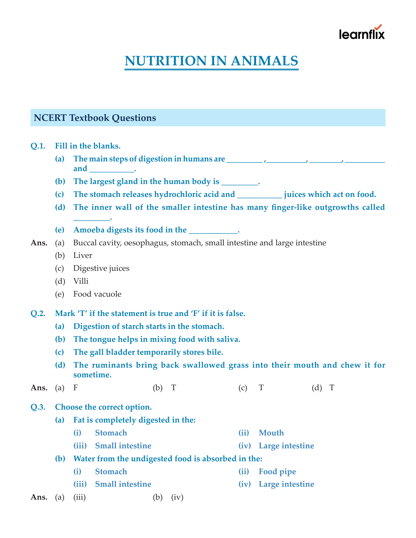# learnt

## **NUTRITION IN ANIMALS**

### **NCERT Textbook Questions**

**Q.1. Fill in the blanks.**

- **(a) The main steps of digestion in humans are \_\_\_\_\_\_\_\_\_ ,\_\_\_\_\_\_\_\_\_\_, \_\_\_\_\_\_\_\_, \_\_\_\_\_\_\_\_\_\_ and \_\_\_\_\_\_\_\_\_\_\_.**
- **(b) The largest gland in the human body is \_\_\_\_\_\_\_\_\_.**
- **(c) The stomach releases hydrochloric acid and \_\_\_\_\_\_\_\_\_\_\_ juices which act on food.**
- **(d) The inner wall of the smaller intestine has many finger-like outgrowths called**
- **(e) Amoeba digests its food in the \_\_\_\_\_\_\_\_\_\_\_\_.**
- **Ans.** (a) Buccal cavity, oesophagus, stomach, small intestine and large intestine
	- (b) Liver
	- (c) Digestive juices

**\_\_\_\_\_\_\_\_\_.**

- (d) Villi
- (e) Food vacuole
- **Q.2. Mark 'T' if the statement is true and 'F' if it is false.**
	- **(a) Digestion of starch starts in the stomach.**
	- **(b) The tongue helps in mixing food with saliva.**
	- **(c) The gall bladder temporarily stores bile.**
	- **(d) The ruminants bring back swallowed grass into their mouth and chew it for sometime.**
- **Ans.** (a) F (b) T (c) T (d) T

#### **Q.3. Choose the correct option.**

- **(a) Fat is completely digested in the:**
	- **(i) Stomach (ii) Mouth**
	- **(iii) Small intestine (iv) Large intestine**
- **(b) Water from the undigested food is absorbed in the:**
	- **(i) Stomach (ii) Food pipe**
	- **(iii) Small intestine (iv) Large intestine**
- **Ans.** (a) (iii) (b) (iv)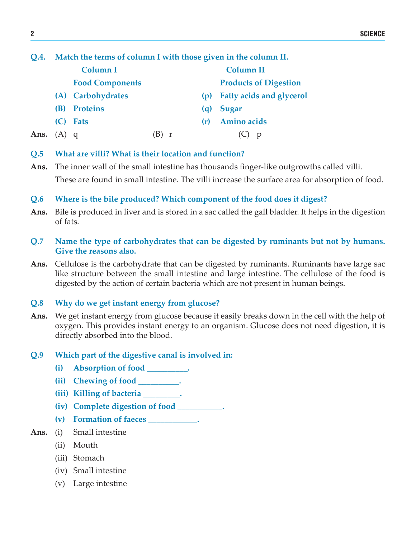#### **Q.4. Match the terms of column I with those given in the column II.**

|      |            | Column I               |   |     | <b>Column II</b>                |
|------|------------|------------------------|---|-----|---------------------------------|
|      |            | <b>Food Components</b> |   |     | <b>Products of Digestion</b>    |
|      |            | (A) Carbohydrates      |   | (D) | <b>Fatty acids and glycerol</b> |
|      | <b>(B)</b> | <b>Proteins</b>        |   | (a) | Sugar                           |
|      | (C)        | <b>Fats</b>            |   | (r) | Amino acids                     |
| Ans. | $(A)$ q    |                        | r |     | D                               |

#### **Q.5 What are villi? What is their location and function?**

**Ans.** The inner wall of the small intestine has thousands finger-like outgrowths called villi. These are found in small intestine. The villi increase the surface area for absorption of food.

#### **Q.6 Where is the bile produced? Which component of the food does it digest?**

- **Ans.** Bile is produced in liver and is stored in a sac called the gall bladder. It helps in the digestion of fats.
- **Q.7 Name the type of carbohydrates that can be digested by ruminants but not by humans. Give the reasons also.**
- **Ans.** Cellulose is the carbohydrate that can be digested by ruminants. Ruminants have large sac like structure between the small intestine and large intestine. The cellulose of the food is digested by the action of certain bacteria which are not present in human beings.

#### **Q.8 Why do we get instant energy from glucose?**

**Ans.** We get instant energy from glucose because it easily breaks down in the cell with the help of oxygen. This provides instant energy to an organism. Glucose does not need digestion, it is directly absorbed into the blood.

#### **Q.9 Which part of the digestive canal is involved in:**

- **(i) Absorption of food \_\_\_\_\_\_\_\_\_\_.**
- **(ii) Chewing of food \_\_\_\_\_\_\_\_\_\_.**
- **(iii) Killing of bacteria \_\_\_\_\_\_\_\_\_.**
- **(iv) Complete digestion of food \_\_\_\_\_\_\_\_\_\_\_.**
- **(v) Formation of faeces \_\_\_\_\_\_\_\_\_\_\_\_.**

#### **Ans.** (i) Small intestine

- (ii) Mouth
- (iii) Stomach
- (iv) Small intestine
- (v) Large intestine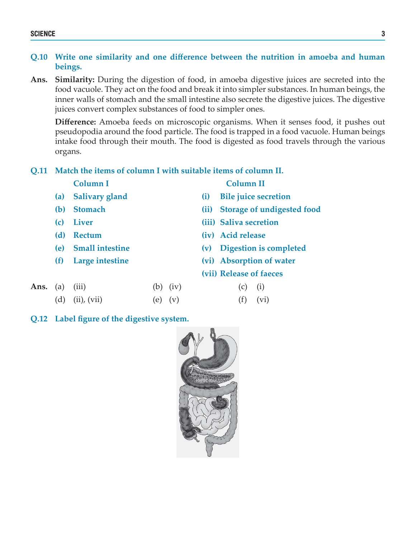#### SCIENCE 3

#### **Q.10 Write one similarity and one difference between the nutrition in amoeba and human beings.**

**Ans. Similarity:** During the digestion of food, in amoeba digestive juices are secreted into the food vacuole. They act on the food and break it into simpler substances. In human beings, the inner walls of stomach and the small intestine also secrete the digestive juices. The digestive juices convert complex substances of food to simpler ones.

**Difference:** Amoeba feeds on microscopic organisms. When it senses food, it pushes out pseudopodia around the food particle. The food is trapped in a food vacuole. Human beings intake food through their mouth. The food is digested as food travels through the various organs.

#### **Q.11 Match the items of column I with suitable items of column II.**

**(a) Salivary gland (i) Bile juice secretion**

**Column I Column II**

- **(b) Stomach (ii) Storage of undigested food (c) Liver (iii) Saliva secretion (d) Rectum (iv) Acid release (e) Small intestine (v) Digestion is completed**
	-
	- **(f) Large intestine (vi) Absorption of water (vii) Release of faeces**
- **Ans.** (a) (iii) (b) (iv) (c) (i) (d) (ii), (vii) (e) (v) (f) (vi)
- **Q.12 Label figure of the digestive system.**